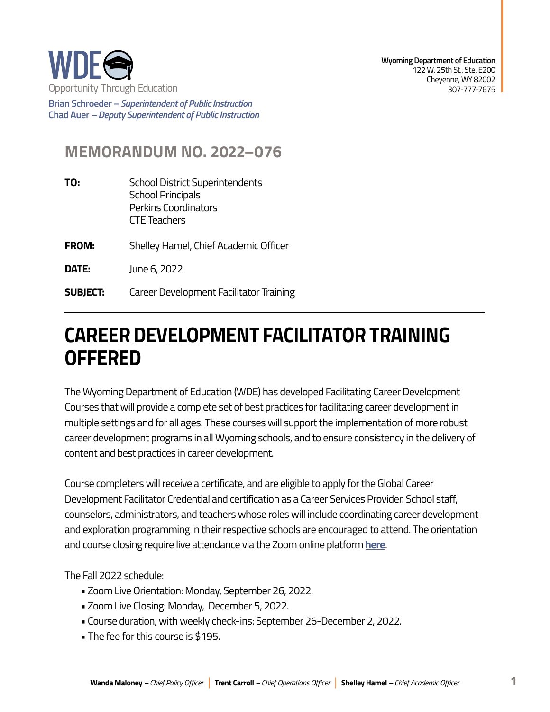

**Brian Schroeder –***Superintendent of Public Instruction*  **Chad Auer** *– Deputy Superintendent of Public Instruction* 

## **MEMORANDUM NO. 2022–076**

- **TO:** School District Superintendents School Principals Perkins Coordinators CTE Teachers
- **FROM:** Shelley Hamel, Chief Academic Officer
- **DATE:** June 6, 2022
- **SUBJECT:** Career Development Facilitator Training

## **CAREER DEVELOPMENT FACILITATOR TRAINING OFFERED**

The Wyoming Department of Education (WDE) has developed Facilitating Career Development Courses that will provide a complete set of best practices for facilitating career development in multiple settings and for all ages. These courses will support the implementation of more robust career development programs in all Wyoming schools, and to ensure consistency in the delivery of content and best practices in career development.

Course completers will receive a certificate, and are eligible to apply for the Global Career Development Facilitator Credential and certification as a Career Services Provider. School staff, counselors, administrators, and teachers whose roles will include coordinating career development and exploration programming in their respective schools are encouraged to attend. The orientation and course closing require live attendance via the Zoom online platform **[here](https://docs.google.com/forms/d/e/1FAIpQLSe8OT3kPoqIEWXjvX-CsIUm3HrMAaHb5wz6FvoFTt0tu68jMA/viewform?usp=sf_linkcqJmGa1mal7YfjsFiOHEGIweuzDh2A35vCOGUTDjIQeMB40g/viewform?usp=sf_link)**.

The Fall 2022 schedule:

- Zoom Live Orientation: Monday, September 26, 2022.
- Zoom Live Closing: Monday, December 5, 2022.
- Course duration, with weekly check-ins: September 26-December 2, 2022.
- The fee for this course is \$195.